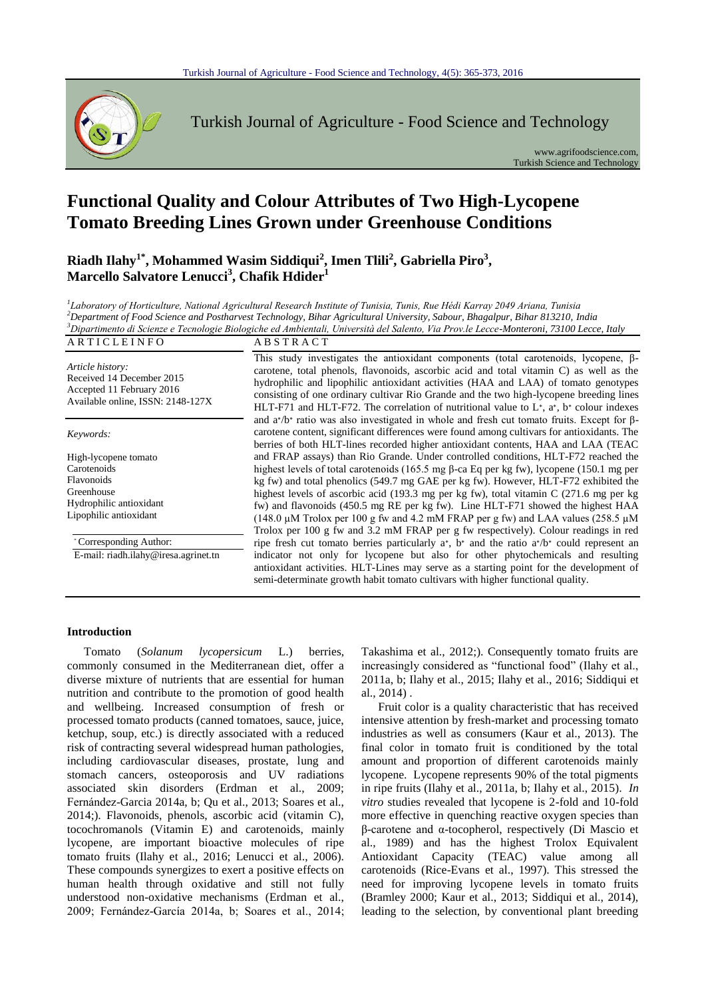

Turkish Journal of Agriculture - Food Science and Technology

www.agrifoodscience.com, Turkish Science and Technology

# **Functional Quality and Colour Attributes of Two High-Lycopene Tomato Breeding Lines Grown under Greenhouse Conditions**

**Riadh Ilahy1\*, Mohammed Wasim Siddiqui<sup>2</sup> , Imen Tlili<sup>2</sup> , Gabriella Piro<sup>3</sup> , Marcello Salvatore Lenucci<sup>3</sup> , Chafik Hdider<sup>1</sup>**

 *Laboratory of Horticulture, National Agricultural Research Institute of Tunisia, Tunis, Rue Hédi Karray 2049 Ariana, Tunisia Department of Food Science and Postharvest Technology, Bihar Agricultural University, Sabour, Bhagalpur, Bihar 813210, India Dipartimento di Scienze e Tecnologie Biologiche ed Ambientali, Università del Salento, Via Prov.le Lecce-Monteroni, 73100 Lecce, Italy* A R T I C L E I N F O A B S T R A C T

*Article history:* Received 14 December 2015 Accepted 11 February 2016 Available online, ISSN: 2148-127X

*Keywords:*

High-lycopene tomato **Carotenoids** Flavonoids Greenhouse Hydrophilic antioxidant Lipophilic antioxidant

\* Corresponding Author:

E-mail: riadh.ilahy@iresa.agrinet.tn

This study investigates the antioxidant components (total carotenoids, lycopene, βcarotene, total phenols, flavonoids, ascorbic acid and total vitamin C) as well as the hydrophilic and lipophilic antioxidant activities (HAA and LAA) of tomato genotypes consisting of one ordinary cultivar Rio Grande and the two high-lycopene breeding lines HLT-F71 and HLT-F72. The correlation of nutritional value to L∗, a∗, b<sup>∗</sup> colour indexes and a∗/b<sup>∗</sup> ratio was also investigated in whole and fresh cut tomato fruits. Except for βcarotene content, significant differences were found among cultivars for antioxidants. The berries of both HLT-lines recorded higher antioxidant contents, HAA and LAA (TEAC and FRAP assays) than Rio Grande. Under controlled conditions, HLT-F72 reached the highest levels of total carotenoids (165.5 mg β-ca Eq per kg fw), lycopene (150.1 mg per kg fw) and total phenolics (549.7 mg GAE per kg fw). However, HLT-F72 exhibited the highest levels of ascorbic acid (193.3 mg per kg fw), total vitamin C (271.6 mg per kg fw) and flavonoids (450.5 mg RE per kg fw). Line HLT-F71 showed the highest HAA (148.0  $\mu$ M Trolox per 100 g fw and 4.2 mM FRAP per g fw) and LAA values (258.5  $\mu$ M Trolox per 100 g fw and 3.2 mM FRAP per g fw respectively). Colour readings in red ripe fresh cut tomato berries particularly a∗, b<sup>∗</sup> and the ratio a∗/b<sup>∗</sup> could represent an indicator not only for lycopene but also for other phytochemicals and resulting antioxidant activities. HLT-Lines may serve as a starting point for the development of semi-determinate growth habit tomato cultivars with higher functional quality.

#### **Introduction**

Tomato (*Solanum lycopersicum* L.) berries, commonly consumed in the Mediterranean diet, offer a diverse mixture of nutrients that are essential for human nutrition and contribute to the promotion of good health and wellbeing. Increased consumption of fresh or processed tomato products (canned tomatoes, sauce, juice, ketchup, soup, etc.) is directly associated with a reduced risk of contracting several widespread human pathologies, including cardiovascular diseases, prostate, lung and stomach cancers, osteoporosis and UV radiations associated skin disorders (Erdman et al., 2009; Fernández-Garcia 2014a, b; Qu et al., 2013; Soares et al., 2014;). Flavonoids, phenols, ascorbic acid (vitamin C), tocochromanols (Vitamin E) and carotenoids, mainly lycopene, are important bioactive molecules of ripe tomato fruits (Ilahy et al., 2016; Lenucci et al., 2006). These compounds synergizes to exert a positive effects on human health through oxidative and still not fully understood non-oxidative mechanisms (Erdman et al., 2009; Fernández-García 2014a, b; Soares et al., 2014; Takashima et al., 2012;). Consequently tomato fruits are increasingly considered as "functional food" (Ilahy et al., 2011a, b; Ilahy et al., 2015; Ilahy et al., 2016; Siddiqui et al., 2014) .

Fruit color is a quality characteristic that has received intensive attention by fresh-market and processing tomato industries as well as consumers (Kaur et al., 2013). The final color in tomato fruit is conditioned by the total amount and proportion of different carotenoids mainly lycopene. Lycopene represents 90% of the total pigments in ripe fruits (Ilahy et al., 2011a, b; Ilahy et al., 2015). *In vitro* studies revealed that lycopene is 2-fold and 10-fold more effective in quenching reactive oxygen species than β-carotene and α-tocopherol, respectively (Di Mascio et al., 1989) and has the highest Trolox Equivalent Antioxidant Capacity (TEAC) value among all carotenoids (Rice-Evans et al., 1997). This stressed the need for improving lycopene levels in tomato fruits (Bramley 2000; Kaur et al., 2013; Siddiqui et al., 2014), leading to the selection, by conventional plant breeding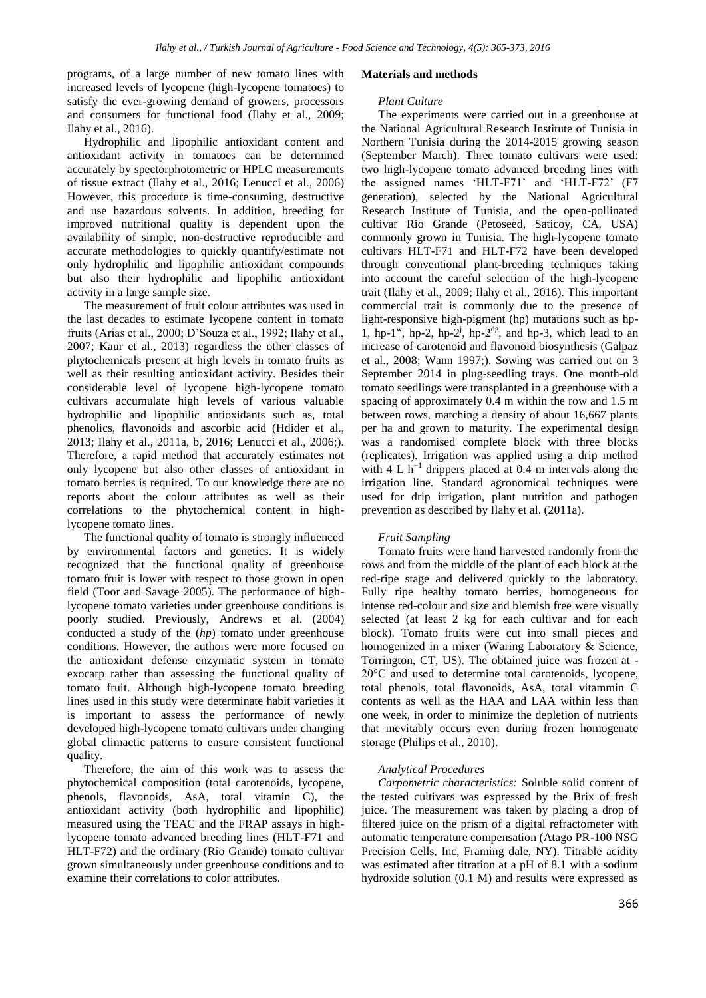programs, of a large number of new tomato lines with increased levels of lycopene (high-lycopene tomatoes) to satisfy the ever-growing demand of growers, processors and consumers for functional food (Ilahy et al., 2009; Ilahy et al., 2016).

Hydrophilic and lipophilic antioxidant content and antioxidant activity in tomatoes can be determined accurately by spectorphotometric or HPLC measurements of tissue extract (Ilahy et al., 2016; Lenucci et al., 2006) However, this procedure is time-consuming, destructive and use hazardous solvents. In addition, breeding for improved nutritional quality is dependent upon the availability of simple, non-destructive reproducible and accurate methodologies to quickly quantify/estimate not only hydrophilic and lipophilic antioxidant compounds but also their hydrophilic and lipophilic antioxidant activity in a large sample size.

The measurement of fruit colour attributes was used in the last decades to estimate lycopene content in tomato fruits (Arias et al., 2000; D'Souza et al., 1992; Ilahy et al., 2007; Kaur et al., 2013) regardless the other classes of phytochemicals present at high levels in tomato fruits as well as their resulting antioxidant activity. Besides their considerable level of lycopene high-lycopene tomato cultivars accumulate high levels of various valuable hydrophilic and lipophilic antioxidants such as, total phenolics, flavonoids and ascorbic acid (Hdider et al., 2013; Ilahy et al., 2011a, b, 2016; Lenucci et al., 2006;). Therefore, a rapid method that accurately estimates not only lycopene but also other classes of antioxidant in tomato berries is required. To our knowledge there are no reports about the colour attributes as well as their correlations to the phytochemical content in highlycopene tomato lines.

The functional quality of tomato is strongly influenced by environmental factors and genetics. It is widely recognized that the functional quality of greenhouse tomato fruit is lower with respect to those grown in open field (Toor and Savage 2005). The performance of highlycopene tomato varieties under greenhouse conditions is poorly studied. Previously, Andrews et al. (2004) conducted a study of the (*hp*) tomato under greenhouse conditions. However, the authors were more focused on the antioxidant defense enzymatic system in tomato exocarp rather than assessing the functional quality of tomato fruit. Although high-lycopene tomato breeding lines used in this study were determinate habit varieties it is important to assess the performance of newly developed high-lycopene tomato cultivars under changing global climactic patterns to ensure consistent functional quality.

Therefore, the aim of this work was to assess the phytochemical composition (total carotenoids, lycopene, phenols, flavonoids, AsA, total vitamin C), the antioxidant activity (both hydrophilic and lipophilic) measured using the TEAC and the FRAP assays in highlycopene tomato advanced breeding lines (HLT-F71 and HLT-F72) and the ordinary (Rio Grande) tomato cultivar grown simultaneously under greenhouse conditions and to examine their correlations to color attributes.

#### **Materials and methods**

### *Plant Culture*

The experiments were carried out in a greenhouse at the National Agricultural Research Institute of Tunisia in Northern Tunisia during the 2014-2015 growing season (September–March). Three tomato cultivars were used: two high-lycopene tomato advanced breeding lines with the assigned names 'HLT-F71' and 'HLT-F72' (F7 generation), selected by the National Agricultural Research Institute of Tunisia, and the open-pollinated cultivar Rio Grande (Petoseed, Saticoy, CA, USA) commonly grown in Tunisia. The high-lycopene tomato cultivars HLT-F71 and HLT-F72 have been developed through conventional plant-breeding techniques taking into account the careful selection of the high-lycopene trait (Ilahy et al., 2009; Ilahy et al., 2016). This important commercial trait is commonly due to the presence of light-responsive high-pigment (hp) mutations such as hp-1, hp-1<sup>w</sup>, hp-2, hp-2<sup>j</sup>, hp-2<sup>dg</sup>, and hp-3, which lead to an increase of carotenoid and flavonoid biosynthesis (Galpaz et al., 2008; Wann 1997;). Sowing was carried out on 3 September 2014 in plug-seedling trays. One month-old tomato seedlings were transplanted in a greenhouse with a spacing of approximately 0.4 m within the row and 1.5 m between rows, matching a density of about 16,667 plants per ha and grown to maturity. The experimental design was a randomised complete block with three blocks (replicates). Irrigation was applied using a drip method with 4 L  $h^{-1}$  drippers placed at 0.4 m intervals along the irrigation line. Standard agronomical techniques were used for drip irrigation, plant nutrition and pathogen prevention as described by Ilahy et al. (2011a).

### *Fruit Sampling*

Tomato fruits were hand harvested randomly from the rows and from the middle of the plant of each block at the red-ripe stage and delivered quickly to the laboratory. Fully ripe healthy tomato berries, homogeneous for intense red-colour and size and blemish free were visually selected (at least 2 kg for each cultivar and for each block). Tomato fruits were cut into small pieces and homogenized in a mixer (Waring Laboratory & Science, Torrington, CT, US). The obtained juice was frozen at - 20°C and used to determine total carotenoids, lycopene, total phenols, total flavonoids, AsA, total vitammin C contents as well as the HAA and LAA within less than one week, in order to minimize the depletion of nutrients that inevitably occurs even during frozen homogenate storage (Philips et al., 2010).

#### *Analytical Procedures*

*Carpometric characteristics:* Soluble solid content of the tested cultivars was expressed by the Brix of fresh juice. The measurement was taken by placing a drop of filtered juice on the prism of a digital refractometer with automatic temperature compensation (Atago PR-100 NSG Precision Cells, Inc, Framing dale, NY). Titrable acidity was estimated after titration at a pH of 8.1 with a sodium hydroxide solution (0.1 M) and results were expressed as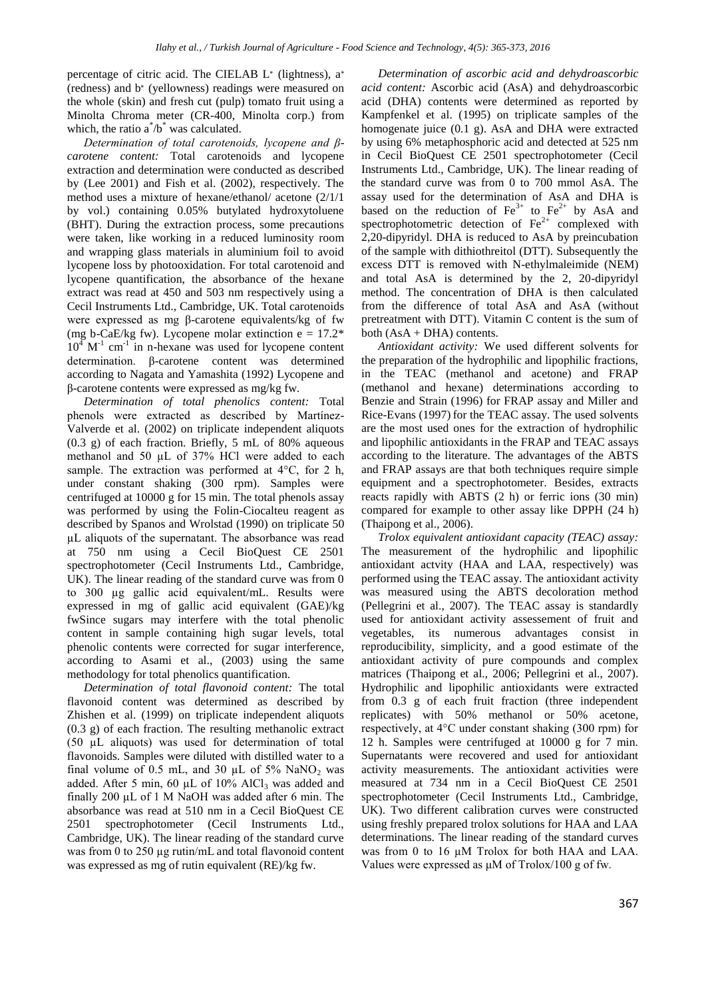percentage of citric acid. The CIELAB L<sup>\*</sup> (lightness), a<sup>\*</sup> (redness) and b<sup>∗</sup> (yellowness) readings were measured on the whole (skin) and fresh cut (pulp) tomato fruit using a Minolta Chroma meter (CR-400, Minolta corp.) from which, the ratio  $a^*/b^*$  was calculated.

*Determination of total carotenoids, lycopene and βcarotene content:* Total carotenoids and lycopene extraction and determination were conducted as described by (Lee 2001) and Fish et al. (2002), respectively. The method uses a mixture of hexane/ethanol/ acetone (2/1/1 by vol.) containing 0.05% butylated hydroxytoluene (BHT). During the extraction process, some precautions were taken, like working in a reduced luminosity room and wrapping glass materials in aluminium foil to avoid lycopene loss by photooxidation. For total carotenoid and lycopene quantification, the absorbance of the hexane extract was read at 450 and 503 nm respectively using a Cecil Instruments Ltd., Cambridge, UK. Total carotenoids were expressed as mg β-carotene equivalents/kg of fw (mg b-CaE/kg fw). Lycopene molar extinction  $e = 17.2$ <sup>\*</sup>  $10^4$  M<sup>-1</sup> cm<sup>-1</sup> in n-hexane was used for lycopene content determination. β-carotene content was determined according to Nagata and Yamashita (1992) Lycopene and β-carotene contents were expressed as mg/kg fw.

*Determination of total phenolics content:* Total phenols were extracted as described by Martínez-Valverde et al. (2002) on triplicate independent aliquots (0.3 g) of each fraction. Briefly, 5 mL of 80% aqueous methanol and 50 µL of 37% HCl were added to each sample. The extraction was performed at 4°C, for 2 h, under constant shaking (300 rpm). Samples were centrifuged at 10000 g for 15 min. The total phenols assay was performed by using the Folin-Ciocalteu reagent as described by Spanos and Wrolstad (1990) on triplicate 50 µL aliquots of the supernatant. The absorbance was read at 750 nm using a Cecil BioQuest CE 2501 spectrophotometer (Cecil Instruments Ltd., Cambridge, UK). The linear reading of the standard curve was from 0 to 300 µg gallic acid equivalent/mL. Results were expressed in mg of gallic acid equivalent (GAE)/kg fwSince sugars may interfere with the total phenolic content in sample containing high sugar levels, total phenolic contents were corrected for sugar interference, according to Asami et al., (2003) using the same methodology for total phenolics quantification.

*Determination of total flavonoid content:* The total flavonoid content was determined as described by Zhishen et al. (1999) on triplicate independent aliquots (0.3 g) of each fraction. The resulting methanolic extract (50 µL aliquots) was used for determination of total flavonoids. Samples were diluted with distilled water to a final volume of 0.5 mL, and 30  $\mu$ L of 5% NaNO<sub>2</sub> was added. After 5 min, 60  $\mu$ L of 10% AlCl<sub>3</sub> was added and finally 200 µL of 1 M NaOH was added after 6 min. The absorbance was read at 510 nm in a Cecil BioQuest CE 2501 spectrophotometer (Cecil Instruments Ltd., Cambridge, UK). The linear reading of the standard curve was from 0 to 250 µg rutin/mL and total flavonoid content was expressed as mg of rutin equivalent (RE)/kg fw.

*Determination of ascorbic acid and dehydroascorbic acid content:* Ascorbic acid (AsA) and dehydroascorbic acid (DHA) contents were determined as reported by Kampfenkel et al. (1995) on triplicate samples of the homogenate juice (0.1 g). AsA and DHA were extracted by using 6% metaphosphoric acid and detected at 525 nm in Cecil BioQuest CE 2501 spectrophotometer (Cecil Instruments Ltd., Cambridge, UK). The linear reading of the standard curve was from 0 to 700 mmol AsA. The assay used for the determination of AsA and DHA is based on the reduction of  $\text{Fe}^{3+}$  to  $\text{Fe}^{2+}$  by AsA and spectrophotometric detection of  $Fe<sup>2+</sup>$  complexed with 2,20-dipyridyl. DHA is reduced to AsA by preincubation of the sample with dithiothreitol (DTT). Subsequently the excess DTT is removed with N-ethylmaleimide (NEM) and total AsA is determined by the 2, 20-dipyridyl method. The concentration of DHA is then calculated from the difference of total AsA and AsA (without pretreatment with DTT). Vitamin C content is the sum of both  $(AsA + DHA)$  contents.

*Antioxidant activity:* We used different solvents for the preparation of the hydrophilic and lipophilic fractions, in the TEAC (methanol and acetone) and FRAP (methanol and hexane) determinations according to Benzie and Strain (1996) for FRAP assay and Miller and Rice-Evans (1997) for the TEAC assay. The used solvents are the most used ones for the extraction of hydrophilic and lipophilic antioxidants in the FRAP and TEAC assays according to the literature. The advantages of the ABTS and FRAP assays are that both techniques require simple equipment and a spectrophotometer. Besides, extracts reacts rapidly with ABTS (2 h) or ferric ions (30 min) compared for example to other assay like DPPH (24 h) (Thaipong et al., 2006).

*Trolox equivalent antioxidant capacity (TEAC) assay:*  The measurement of the hydrophilic and lipophilic antioxidant actvity (HAA and LAA, respectively) was performed using the TEAC assay. The antioxidant activity was measured using the ABTS decoloration method (Pellegrini et al., 2007). The TEAC assay is standardly used for antioxidant activity assessement of fruit and vegetables, its numerous advantages consist in reproducibility, simplicity, and a good estimate of the antioxidant activity of pure compounds and complex matrices (Thaipong et al., 2006; Pellegrini et al., 2007). Hydrophilic and lipophilic antioxidants were extracted from 0.3 g of each fruit fraction (three independent replicates) with 50% methanol or 50% acetone, respectively, at 4°C under constant shaking (300 rpm) for 12 h. Samples were centrifuged at 10000 g for 7 min. Supernatants were recovered and used for antioxidant activity measurements. The antioxidant activities were measured at 734 nm in a Cecil BioQuest CE 2501 spectrophotometer (Cecil Instruments Ltd., Cambridge, UK). Two different calibration curves were constructed using freshly prepared trolox solutions for HAA and LAA determinations. The linear reading of the standard curves was from 0 to 16 µM Trolox for both HAA and LAA. Values were expressed as μM of Trolox/100 g of fw.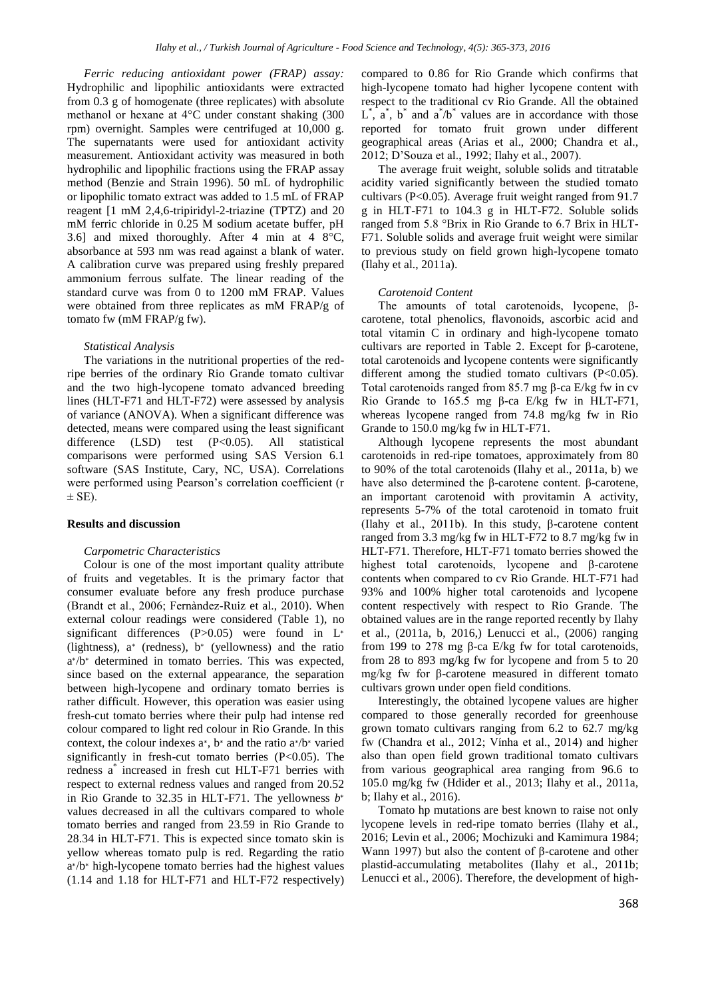*Ferric reducing antioxidant power (FRAP) assay:*  Hydrophilic and lipophilic antioxidants were extracted from 0.3 g of homogenate (three replicates) with absolute methanol or hexane at 4°C under constant shaking (300 rpm) overnight. Samples were centrifuged at 10,000 g. The supernatants were used for antioxidant activity measurement. Antioxidant activity was measured in both hydrophilic and lipophilic fractions using the FRAP assay method (Benzie and Strain 1996). 50 mL of hydrophilic or lipophilic tomato extract was added to 1.5 mL of FRAP reagent [1 mM 2,4,6-tripiridyl-2-triazine (TPTZ) and 20 mM ferric chloride in 0.25 M sodium acetate buffer, pH 3.6] and mixed thoroughly. After 4 min at  $4 \, 8^{\circ}\text{C}$ , absorbance at 593 nm was read against a blank of water. A calibration curve was prepared using freshly prepared ammonium ferrous sulfate. The linear reading of the standard curve was from 0 to 1200 mM FRAP. Values were obtained from three replicates as mM FRAP/g of tomato fw (mM FRAP/g fw).

### *Statistical Analysis*

The variations in the nutritional properties of the redripe berries of the ordinary Rio Grande tomato cultivar and the two high-lycopene tomato advanced breeding lines (HLT-F71 and HLT-F72) were assessed by analysis of variance (ANOVA). When a significant difference was detected, means were compared using the least significant difference (LSD) test (P<0.05). All statistical comparisons were performed using SAS Version 6.1 software (SAS Institute, Cary, NC, USA). Correlations were performed using Pearson's correlation coefficient (r  $\pm$  SE).

## **Results and discussion**

#### *Carpometric Characteristics*

Colour is one of the most important quality attribute of fruits and vegetables. It is the primary factor that consumer evaluate before any fresh produce purchase (Brandt et al., 2006; Fernàndez-Ruiz et al., 2010). When external colour readings were considered (Table 1), no significant differences (P>0.05) were found in L<sup>∗</sup> (lightness), a<sup>∗</sup> (redness), b<sup>∗</sup> (yellowness) and the ratio a ∗ /b<sup>∗</sup> determined in tomato berries. This was expected, since based on the external appearance, the separation between high-lycopene and ordinary tomato berries is rather difficult. However, this operation was easier using fresh-cut tomato berries where their pulp had intense red colour compared to light red colour in Rio Grande. In this context, the colour indexes a<sup>∗</sup> , b<sup>∗</sup> and the ratio a ∗ /b<sup>∗</sup> varied significantly in fresh-cut tomato berries (P<0.05). The redness a\* increased in fresh cut HLT-F71 berries with respect to external redness values and ranged from 20.52 in Rio Grande to 32.35 in HLT-F71. The yellowness *b* ∗ values decreased in all the cultivars compared to whole tomato berries and ranged from 23.59 in Rio Grande to 28.34 in HLT-F71. This is expected since tomato skin is yellow whereas tomato pulp is red. Regarding the ratio a ∗ /b<sup>∗</sup> high-lycopene tomato berries had the highest values (1.14 and 1.18 for HLT-F71 and HLT-F72 respectively)

compared to 0.86 for Rio Grande which confirms that high-lycopene tomato had higher lycopene content with respect to the traditional cv Rio Grande. All the obtained  $L^*$ ,  $\hat{a}^*$ ,  $\hat{b}^*$  and  $\hat{a}^*$ / $\hat{b}^*$  values are in accordance with those reported for tomato fruit grown under different geographical areas (Arias et al., 2000; Chandra et al., 2012; D'Souza et al., 1992; Ilahy et al., 2007).

The average fruit weight, soluble solids and titratable acidity varied significantly between the studied tomato cultivars (P<0.05). Average fruit weight ranged from 91.7 g in HLT-F71 to 104.3 g in HLT-F72. Soluble solids ranged from 5.8 °Brix in Rio Grande to 6.7 Brix in HLT-F71. Soluble solids and average fruit weight were similar to previous study on field grown high-lycopene tomato (Ilahy et al., 2011a).

#### *Carotenoid Content*

The amounts of total carotenoids, lycopene, βcarotene, total phenolics, flavonoids, ascorbic acid and total vitamin C in ordinary and high-lycopene tomato cultivars are reported in Table 2. Except for β-carotene, total carotenoids and lycopene contents were significantly different among the studied tomato cultivars (P<0.05). Total carotenoids ranged from 85.7 mg β-ca E/kg fw in cv Rio Grande to 165.5 mg β-ca E/kg fw in HLT-F71, whereas lycopene ranged from 74.8 mg/kg fw in Rio Grande to 150.0 mg/kg fw in HLT-F71.

Although lycopene represents the most abundant carotenoids in red-ripe tomatoes, approximately from 80 to 90% of the total carotenoids (Ilahy et al., 2011a, b) we have also determined the β-carotene content. β-carotene, an important carotenoid with provitamin A activity, represents 5-7% of the total carotenoid in tomato fruit (Ilahy et al., 2011b). In this study, β-carotene content ranged from 3.3 mg/kg fw in HLT-F72 to 8.7 mg/kg fw in HLT-F71. Therefore, HLT-F71 tomato berries showed the highest total carotenoids, lycopene and β-carotene contents when compared to cv Rio Grande. HLT-F71 had 93% and 100% higher total carotenoids and lycopene content respectively with respect to Rio Grande. The obtained values are in the range reported recently by Ilahy et al., (2011a, b, 2016,) Lenucci et al., (2006) ranging from 199 to 278 mg β-ca E/kg fw for total carotenoids, from 28 to 893 mg/kg fw for lycopene and from 5 to 20 mg/kg fw for β-carotene measured in different tomato cultivars grown under open field conditions.

Interestingly, the obtained lycopene values are higher compared to those generally recorded for greenhouse grown tomato cultivars ranging from 6.2 to 62.7 mg/kg fw (Chandra et al., 2012; Vínha et al., 2014) and higher also than open field grown traditional tomato cultivars from various geographical area ranging from 96.6 to 105.0 mg/kg fw (Hdider et al., 2013; Ilahy et al., 2011a, b; Ilahy et al., 2016).

Tomato hp mutations are best known to raise not only lycopene levels in red-ripe tomato berries (Ilahy et al., 2016; Levin et al., 2006; Mochizuki and Kamimura 1984; Wann 1997) but also the content of β-carotene and other plastid-accumulating metabolites (Ilahy et al., 2011b; Lenucci et al., 2006). Therefore, the development of high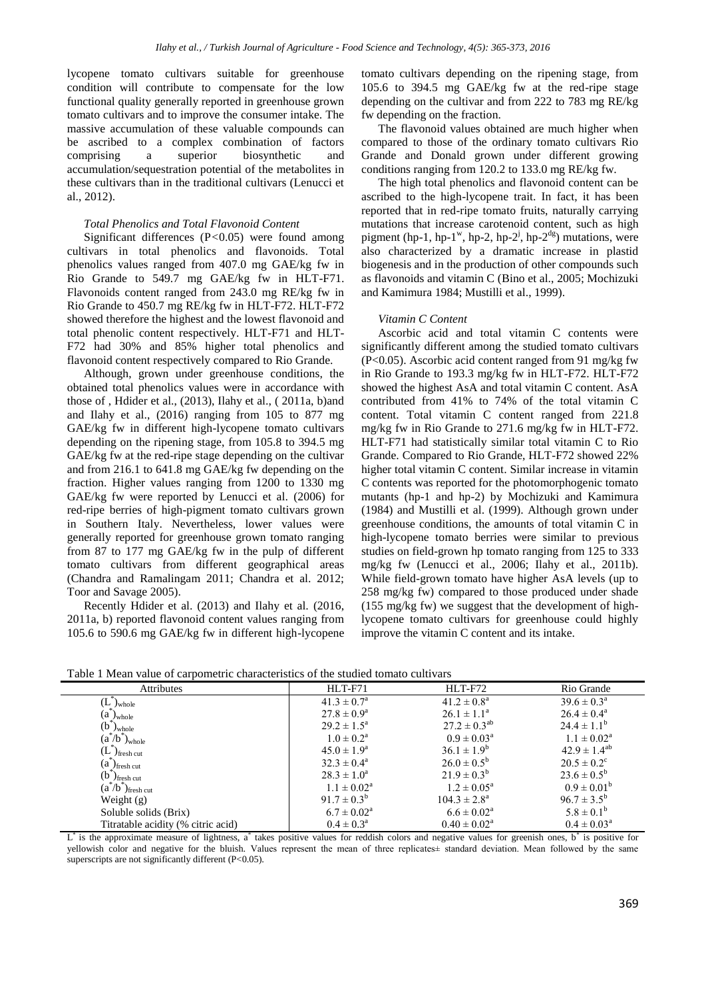lycopene tomato cultivars suitable for greenhouse condition will contribute to compensate for the low functional quality generally reported in greenhouse grown tomato cultivars and to improve the consumer intake. The massive accumulation of these valuable compounds can be ascribed to a complex combination of factors comprising a superior biosynthetic and accumulation/sequestration potential of the metabolites in these cultivars than in the traditional cultivars (Lenucci et al., 2012).

## *Total Phenolics and Total Flavonoid Content*

Significant differences (P*<*0.05) were found among cultivars in total phenolics and flavonoids. Total phenolics values ranged from 407.0 mg GAE/kg fw in Rio Grande to 549.7 mg GAE/kg fw in HLT-F71. Flavonoids content ranged from 243.0 mg RE/kg fw in Rio Grande to 450.7 mg RE/kg fw in HLT-F72. HLT-F72 showed therefore the highest and the lowest flavonoid and total phenolic content respectively. HLT-F71 and HLT-F72 had 30% and 85% higher total phenolics and flavonoid content respectively compared to Rio Grande.

Although, grown under greenhouse conditions, the obtained total phenolics values were in accordance with those of , Hdider et al., (2013), Ilahy et al., ( 2011a, b)and and Ilahy et al., (2016) ranging from 105 to 877 mg GAE/kg fw in different high-lycopene tomato cultivars depending on the ripening stage, from 105.8 to 394.5 mg GAE/kg fw at the red-ripe stage depending on the cultivar and from 216.1 to 641.8 mg GAE/kg fw depending on the fraction. Higher values ranging from 1200 to 1330 mg GAE/kg fw were reported by Lenucci et al. (2006) for red-ripe berries of high-pigment tomato cultivars grown in Southern Italy. Nevertheless, lower values were generally reported for greenhouse grown tomato ranging from 87 to 177 mg GAE/kg fw in the pulp of different tomato cultivars from different geographical areas (Chandra and Ramalingam 2011; Chandra et al. 2012; Toor and Savage 2005).

Recently Hdider et al. (2013) and Ilahy et al. (2016, 2011a, b) reported flavonoid content values ranging from 105.6 to 590.6 mg GAE/kg fw in different high-lycopene tomato cultivars depending on the ripening stage, from 105.6 to 394.5 mg GAE/kg fw at the red-ripe stage depending on the cultivar and from 222 to 783 mg RE/kg fw depending on the fraction.

The flavonoid values obtained are much higher when compared to those of the ordinary tomato cultivars Rio Grande and Donald grown under different growing conditions ranging from 120.2 to 133.0 mg RE/kg fw.

The high total phenolics and flavonoid content can be ascribed to the high-lycopene trait. In fact, it has been reported that in red-ripe tomato fruits, naturally carrying mutations that increase carotenoid content, such as high pigment (hp-1, hp-1<sup>w</sup>, hp-2, hp-2<sup>j</sup>, hp-2<sup>dg</sup>) mutations, were also characterized by a dramatic increase in plastid biogenesis and in the production of other compounds such as flavonoids and vitamin C (Bino et al., 2005; Mochizuki and Kamimura 1984; Mustilli et al., 1999).

#### *Vitamin C Content*

Ascorbic acid and total vitamin C contents were significantly different among the studied tomato cultivars (P<0.05). Ascorbic acid content ranged from 91 mg/kg fw in Rio Grande to 193.3 mg/kg fw in HLT-F72. HLT-F72 showed the highest AsA and total vitamin C content. AsA contributed from 41% to 74% of the total vitamin C content. Total vitamin C content ranged from 221.8 mg/kg fw in Rio Grande to 271.6 mg/kg fw in HLT-F72. HLT-F71 had statistically similar total vitamin C to Rio Grande. Compared to Rio Grande, HLT-F72 showed 22% higher total vitamin C content. Similar increase in vitamin C contents was reported for the photomorphogenic tomato mutants (hp-1 and hp-2) by Mochizuki and Kamimura (1984) and Mustilli et al. (1999). Although grown under greenhouse conditions, the amounts of total vitamin C in high-lycopene tomato berries were similar to previous studies on field-grown hp tomato ranging from 125 to 333 mg/kg fw (Lenucci et al., 2006; Ilahy et al., 2011b). While field-grown tomato have higher AsA levels (up to 258 mg/kg fw) compared to those produced under shade (155 mg/kg fw) we suggest that the development of highlycopene tomato cultivars for greenhouse could highly improve the vitamin C content and its intake.

| Tuble I filem value of empolitente enumerationes of the studied toffinite emit and |                        |                            |                           |  |  |  |  |  |
|------------------------------------------------------------------------------------|------------------------|----------------------------|---------------------------|--|--|--|--|--|
| <b>Attributes</b>                                                                  | HLT-F71                | HLT-F72                    | Rio Grande                |  |  |  |  |  |
| $J_{\text{whole}}$                                                                 | $41.3 \pm 0.7^{\rm a}$ | $41.2 \pm 0.8^{\text{a}}$  | $39.6 \pm 0.3^{\text{a}}$ |  |  |  |  |  |
| $(a)_{\text{whole}}$                                                               | $27.8 \pm 0.9^{\rm a}$ | $26.1 \pm 1.1^a$           | $26.4 \pm 0.4^{\circ}$    |  |  |  |  |  |
| $(b)$ <sub>whole</sub>                                                             | $29.2 \pm 1.5^{\circ}$ | $27.2 \pm 0.3^{ab}$        | $24.4 \pm 1.1^b$          |  |  |  |  |  |
| $(a^*/b^*)$ <sub>whole</sub>                                                       | $1.0 \pm 0.2^{\rm a}$  | $0.9 \pm 0.03^{\text{a}}$  | $1.1 \pm 0.02^{\rm a}$    |  |  |  |  |  |
| $(L^{\dagger})_{\text{fresh cut}}$                                                 | $45.0 \pm 1.9^{\circ}$ | $36.1 \pm 1.9^b$           | $42.9 \pm 1.4^{ab}$       |  |  |  |  |  |
| $(a^{\dagger})_{\text{fresh cut}}$                                                 | $32.3 \pm 0.4^{\circ}$ | $26.0 \pm 0.5^{\rm b}$     | $20.5 \pm 0.2^{\circ}$    |  |  |  |  |  |
| $(b^{\dagger})_{\text{fresh cut}}$                                                 | $28.3 \pm 1.0^a$       | $21.9 \pm 0.3^b$           | $23.6 \pm 0.5^{\rm b}$    |  |  |  |  |  |
| $(a^*/b^*)_{\text{fresh cut}}$                                                     | $1.1 \pm 0.02^{\rm a}$ | $1.2 \pm 0.05^{\text{a}}$  | $0.9 \pm 0.01^b$          |  |  |  |  |  |
| Weight $(g)$                                                                       | $91.7 \pm 0.3^b$       | $104.3 \pm 2.8^{\text{a}}$ | $96.7 \pm 3.5^{\rm b}$    |  |  |  |  |  |
| Soluble solids (Brix)                                                              | $6.7 \pm 0.02^{\rm a}$ | $6.6 \pm 0.02^{\rm a}$     | $5.8 \pm 0.1^{\rm b}$     |  |  |  |  |  |
| Titratable acidity (% citric acid)                                                 | $0.4 \pm 0.3^{\rm a}$  | $0.40 \pm 0.02^{\text{a}}$ | $0.4 \pm 0.03^{\rm a}$    |  |  |  |  |  |

Table 1 Mean value of carpometric characteristics of the studied tomato cultivars

 $L^*$  is the approximate measure of lightness, a<sup>\*</sup> takes positive values for reddish colors and negative values for greenish ones, b<sup>\*</sup> is positive for yellowish color and negative for the bluish. Values represent the mean of three replicates± standard deviation. Mean followed by the same superscripts are not significantly different (P<0.05).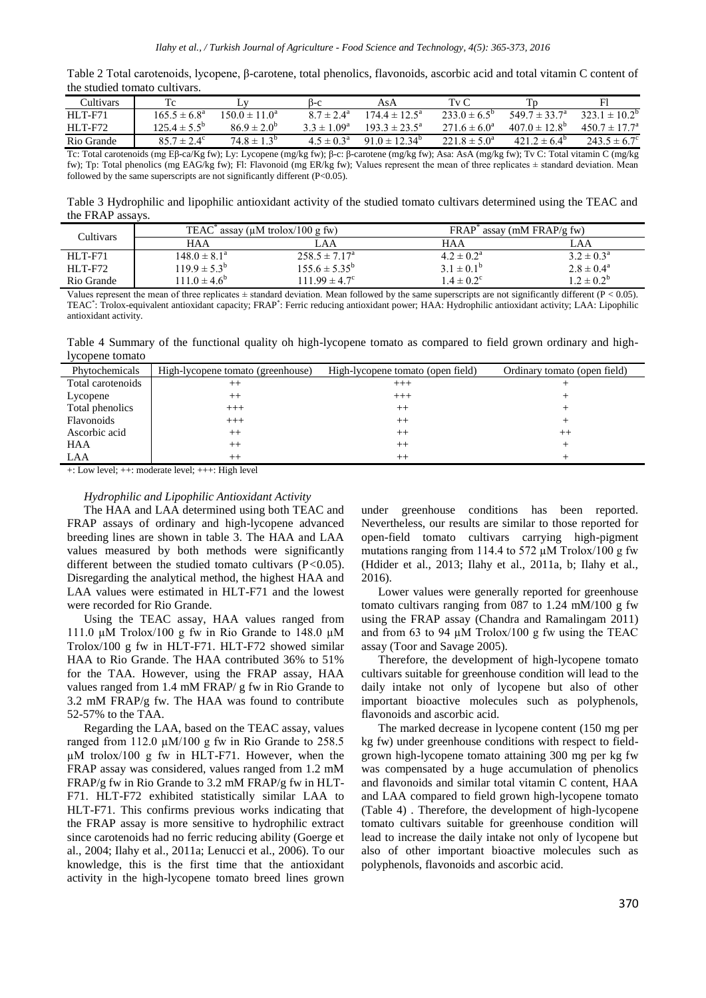| Table 2 Total carotenoids, lycopene, $\beta$ -carotene, total phenolics, flavonoids, ascorbic acid and total vitamin C content of |  |  |
|-----------------------------------------------------------------------------------------------------------------------------------|--|--|
| the studied tomato cultivars.                                                                                                     |  |  |

| Cultivars                                                                                                                                      |                         |                        | 13-C                   | AsA                      | Tv C                    |                               |                          |
|------------------------------------------------------------------------------------------------------------------------------------------------|-------------------------|------------------------|------------------------|--------------------------|-------------------------|-------------------------------|--------------------------|
| <b>HLT-F71</b>                                                                                                                                 | $165.5 \pm 6.8^{\circ}$ | $150.0 \pm 11.0^a$     | $8.7 \pm 2.4^{\circ}$  | $174.4 \pm 12.5^{\circ}$ | $233.0 \pm 6.5^{\circ}$ | 549.7 $\pm$ 33.7 <sup>a</sup> | $3231 + 102^b$           |
| $HI$ T-F72                                                                                                                                     | $125.4 \pm 5.5^{\circ}$ | $86.9 \pm 2.0^6$       | $3.3 \pm 1.09^{\rm a}$ | $193.3 \pm 23.5^{\circ}$ | $271.6 \pm 6.0^{\circ}$ | $407.0 \pm 12.8^{\circ}$      | $450.7 \pm 17.7^{\circ}$ |
| Rio Grande                                                                                                                                     | $85.7 \pm 2.4^{\circ}$  | $74.8 \pm 1.3^{\circ}$ | $4.5 \pm 0.3^{\rm a}$  | $91.0 \pm 12.34^{\circ}$ | $221.8 \pm 5.0^{\circ}$ | $421.2 \pm 6.4^{\circ}$       | $243.5 \pm 6.7^{\circ}$  |
| Tc: Total carotenoids (mg Εβ-ca/Kg fw); Ly: Lycopene (mg/kg fw); β-c: β-carotene (mg/kg fw); Asa: AsA (mg/kg fw); Tv C: Total vitamin C (mg/kg |                         |                        |                        |                          |                         |                               |                          |

fw); Tp: Total phenolics (mg EAG/kg fw); Fl: Flavonoid (mg ER/kg fw); Values represent the mean of three replicates ± standard deviation. Mean followed by the same superscripts are not significantly different  $(P<0.05)$ .

Table 3 Hydrophilic and lipophilic antioxidant activity of the studied tomato cultivars determined using the TEAC and the FRAP assays.

| Cultivars      | TEAC <sup><math>\epsilon</math></sup> assay ( $\mu$ M trolox/100 g fw) |                          | <b>FRAP</b><br>assay (mM FRAP/g fw) |                          |  |
|----------------|------------------------------------------------------------------------|--------------------------|-------------------------------------|--------------------------|--|
|                | <b>HAA</b>                                                             | LA A                     | HAA                                 | LAA                      |  |
| HLT-F71        | $148.0 \pm 8.1^{\circ}$                                                | $258.5 \pm 7.17^{\circ}$ | $4.2 \pm 0.2^{\text{a}}$            | $3.2 \pm 0.3^{\text{a}}$ |  |
| <b>HLT-F72</b> | $119.9 \pm 5.3^b$                                                      | $155.6 \pm 5.35^{\circ}$ | $3.1 \pm 0.1^{\rm b}$               | $2.8 \pm 0.4^{\circ}$    |  |
| Rio Grande     | $111.0 \pm 4.6^b$                                                      | $111.99 \pm 4.7^{\circ}$ | $1.4 \pm 0.2^{\circ}$               | $1.2 \pm 0.2^b$          |  |
| $  -$          | $\sim$ $\sim$                                                          | .                        |                                     | $\sim$ $\sim$            |  |

Values represent the mean of three replicates  $\pm$  standard deviation. Mean followed by the same superscripts are not significantly different (P < 0.05). TEAC\* : Trolox-equivalent antioxidant capacity; FRAP\* : Ferric reducing antioxidant power; HAA: Hydrophilic antioxidant activity; LAA: Lipophilic antioxidant activity.

Table 4 Summary of the functional quality oh high-lycopene tomato as compared to field grown ordinary and highlycopene tomato

| Phytochemicals    | High-lycopene tomato (greenhouse) | High-lycopene tomato (open field) | Ordinary tomato (open field) |
|-------------------|-----------------------------------|-----------------------------------|------------------------------|
| Total carotenoids | $^{++}$                           | $^{+++}$                          |                              |
| Lycopene          | $++$                              | $^{+++}$                          |                              |
| Total phenolics   | $^{+++}$                          | $^{++}$                           |                              |
| Flavonoids        | $+++$                             | $^{++}$                           |                              |
| Ascorbic acid     | $^{++}$                           | $^{++}$                           | $^{++}$                      |
| HAA               | $^{++}$                           | $^{++}$                           |                              |
| LAA               | $^{++}$                           | $^{++}$                           |                              |

+: Low level; ++: moderate level; +++: High level

## *Hydrophilic and Lipophilic Antioxidant Activity*

The HAA and LAA determined using both TEAC and FRAP assays of ordinary and high-lycopene advanced breeding lines are shown in table 3. The HAA and LAA values measured by both methods were significantly different between the studied tomato cultivars (P*<*0.05). Disregarding the analytical method, the highest HAA and LAA values were estimated in HLT-F71 and the lowest were recorded for Rio Grande.

Using the TEAC assay, HAA values ranged from 111.0 µM Trolox/100 g fw in Rio Grande to 148.0 µM Trolox/100 g fw in HLT-F71. HLT-F72 showed similar HAA to Rio Grande. The HAA contributed 36% to 51% for the TAA. However, using the FRAP assay, HAA values ranged from 1.4 mM FRAP/ g fw in Rio Grande to 3.2 mM FRAP/g fw. The HAA was found to contribute 52-57% to the TAA.

Regarding the LAA, based on the TEAC assay, values ranged from 112.0  $\mu$ M/100 g fw in Rio Grande to 258.5 µM trolox/100 g fw in HLT-F71. However, when the FRAP assay was considered, values ranged from 1.2 mM FRAP/g fw in Rio Grande to 3.2 mM FRAP/g fw in HLT-F71. HLT-F72 exhibited statistically similar LAA to HLT-F71. This confirms previous works indicating that the FRAP assay is more sensitive to hydrophilic extract since carotenoids had no ferric reducing ability (Goerge et al., 2004; Ilahy et al., 2011a; Lenucci et al., 2006). To our knowledge, this is the first time that the antioxidant activity in the high-lycopene tomato breed lines grown under greenhouse conditions has been reported. Nevertheless, our results are similar to those reported for open-field tomato cultivars carrying high-pigment mutations ranging from 114.4 to 572 µM Trolox/100 g fw (Hdider et al., 2013; Ilahy et al., 2011a, b; Ilahy et al., 2016).

Lower values were generally reported for greenhouse tomato cultivars ranging from 087 to 1.24 mM/100 g fw using the FRAP assay (Chandra and Ramalingam 2011) and from 63 to 94  $\mu$ M Trolox/100 g fw using the TEAC assay (Toor and Savage 2005).

Therefore, the development of high-lycopene tomato cultivars suitable for greenhouse condition will lead to the daily intake not only of lycopene but also of other important bioactive molecules such as polyphenols, flavonoids and ascorbic acid.

The marked decrease in lycopene content (150 mg per kg fw) under greenhouse conditions with respect to fieldgrown high-lycopene tomato attaining 300 mg per kg fw was compensated by a huge accumulation of phenolics and flavonoids and similar total vitamin C content, HAA and LAA compared to field grown high-lycopene tomato (Table 4) . Therefore, the development of high-lycopene tomato cultivars suitable for greenhouse condition will lead to increase the daily intake not only of lycopene but also of other important bioactive molecules such as polyphenols, flavonoids and ascorbic acid.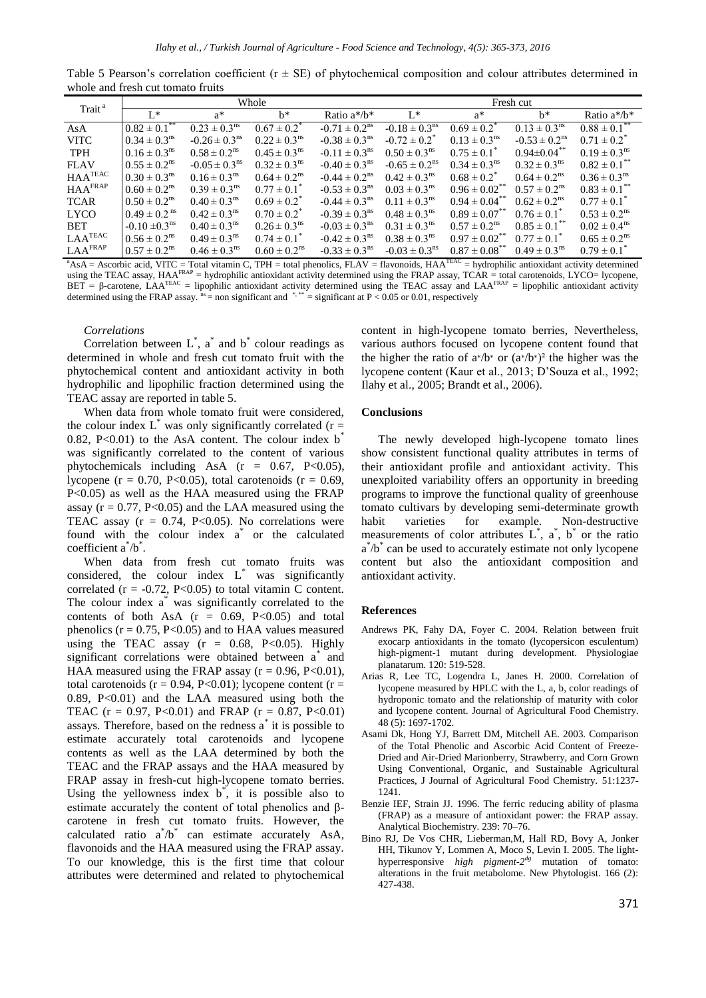| Table 5 Pearson's correlation coefficient ( $r \pm SE$ ) of phytochemical composition and colour attributes determined in |  |  |  |  |
|---------------------------------------------------------------------------------------------------------------------------|--|--|--|--|
| whole and fresh cut tomato fruits                                                                                         |  |  |  |  |

| Trait <sup>a</sup>         | Whole                                  |                               |                                                                                                                                                                                     | Fresh cut                     |                               |                               |                               |                                                                                                                                                                                                                                                                                                                                                        |
|----------------------------|----------------------------------------|-------------------------------|-------------------------------------------------------------------------------------------------------------------------------------------------------------------------------------|-------------------------------|-------------------------------|-------------------------------|-------------------------------|--------------------------------------------------------------------------------------------------------------------------------------------------------------------------------------------------------------------------------------------------------------------------------------------------------------------------------------------------------|
|                            | $L^*$                                  | $a^*$                         | $h^*$                                                                                                                                                                               | Ratio $a^*/b^*$               | $L^*$                         | $a^*$                         | $h^*$                         | Ratio $a^*/b^*$                                                                                                                                                                                                                                                                                                                                        |
| AsA                        | $0.82 \pm 0.1$ **                      | $0.23 \pm 0.3^{\text{ns}}$    | $0.67 \pm 0.2^*$                                                                                                                                                                    | $-0.71 \pm 0.2$ <sup>ns</sup> | $-0.18 \pm 0.3$ <sup>ns</sup> | $0.69 \pm 0.2^*$              | $0.13 \pm 0.3^{\text{ns}}$    | $0.88 \pm 0.1$                                                                                                                                                                                                                                                                                                                                         |
| <b>VITC</b>                | $0.34 \pm 0.3^{\text{ns}}$             | $-0.26 \pm 0.3$ <sup>ns</sup> | $0.22 \pm 0.3^{\text{ns}}$                                                                                                                                                          | $-0.38 \pm 0.3$ <sup>ns</sup> | $-0.72 \pm 0.2^*$             | $0.13 \pm 0.3^{\text{ns}}$    | $-0.53 \pm 0.2$ <sup>ns</sup> | $0.71 \pm 0.2^*$                                                                                                                                                                                                                                                                                                                                       |
| <b>TPH</b>                 | $0.16 \pm 0.3$ <sup>ns</sup>           | $0.58 \pm 0.2$ <sup>ns</sup>  | $0.45 \pm 0.3$ <sup>ns</sup>                                                                                                                                                        | $-0.11 \pm 0.3^{\text{ns}}$   | $0.50 \pm 0.3^{\text{ns}}$    | $0.75 \pm 0.1^*$              | $0.94 \pm 0.04$ **            | $0.19 \pm 0.3^{\text{ns}}$                                                                                                                                                                                                                                                                                                                             |
| <b>FLAV</b>                | $0.55 \pm 0.2^{\text{ns}}$             | $-0.05 \pm 0.3$ <sup>ns</sup> | $0.32 \pm 0.3^{\text{ns}}$                                                                                                                                                          | $-0.40 \pm 0.3$ <sup>ns</sup> | $-0.65 \pm 0.2$ <sup>ns</sup> | $0.34 \pm 0.3^{\text{ns}}$    | $0.32 \pm 0.3^{\text{ns}}$    | $0.82 \pm 0.1$ <sup>**</sup>                                                                                                                                                                                                                                                                                                                           |
| $HAA^{TEAC}$               | $0.30 \pm 0.3^{\text{ns}}$             | $0.16 \pm 0.3$ <sup>ns</sup>  | $0.64 \pm 0.2$ <sup>ns</sup>                                                                                                                                                        | $-0.44 \pm 0.2$ <sup>ns</sup> | $0.42 \pm 0.3^{\text{ns}}$    | $0.68 \pm 0.2^*$              | $0.64 \pm 0.2$ <sup>ns</sup>  | $0.36 \pm 0.3$ <sup>ns</sup>                                                                                                                                                                                                                                                                                                                           |
| <b>HAA</b> <sup>FRAP</sup> | $0.60 \pm 0.2$ <sup>ns</sup>           | $0.39 \pm 0.3^{\text{ns}}$    | $0.77 \pm 0.1^*$                                                                                                                                                                    | $-0.53 \pm 0.3$ <sup>ns</sup> | $0.03 \pm 0.3^{\text{ns}}$    | $0.96 \pm 0.02$ <sup>**</sup> | $0.57 \pm 0.2$ <sup>ns</sup>  | $0.83 \pm 0.1$ <sup>**</sup>                                                                                                                                                                                                                                                                                                                           |
| <b>TCAR</b>                | $0.50 \pm 0.2$ <sup>ns</sup>           | $0.40 \pm 0.3^{\text{ns}}$    | $0.69 \pm 0.2^*$                                                                                                                                                                    | $-0.44 \pm 0.3^{\text{ns}}$   | $0.11 \pm 0.3^{\text{ns}}$    | $0.94 \pm 0.04$ <sup>**</sup> | $0.62 \pm 0.2^{\text{ns}}$    | $0.77 \pm 0.1^*$                                                                                                                                                                                                                                                                                                                                       |
| <b>LYCO</b>                | $0.49 \pm 0.2$ <sup>ns</sup>           | $0.42 \pm 0.3^{\text{ns}}$    | $0.70 \pm 0.2^*$                                                                                                                                                                    | $-0.39 \pm 0.3^{\text{ns}}$   | $0.48 \pm 0.3^{\text{ns}}$    | $0.89 \pm 0.07^{**}$          | $0.76 \pm 0.1^*$              | $0.53 \pm 0.2$ <sup>ns</sup>                                                                                                                                                                                                                                                                                                                           |
| <b>BET</b>                 | $-0.10 \pm 0.3$ <sup>ns</sup>          | $0.40 \pm 0.3^{\text{ns}}$    | $0.26 \pm 0.3^{\text{ns}}$                                                                                                                                                          | $-0.03 \pm 0.3^{\text{ns}}$   | $0.31 \pm 0.3^{\text{ns}}$    | $0.57 \pm 0.2^{\text{ns}}$    | $0.85 \pm 0.1$ <sup>**</sup>  | $0.02 \pm 0.4^{\text{ns}}$                                                                                                                                                                                                                                                                                                                             |
| $LAA^{TEAC}$               | $0.56 \pm 0.2$ <sup>ns</sup>           | $0.49 \pm 0.3^{\text{ns}}$    | $0.74 \pm 0.1^*$                                                                                                                                                                    | $-0.42 \pm 0.3$ <sup>ns</sup> | $0.38 \pm 0.3^{\text{ns}}$    | $0.97 \pm 0.02$ <sup>**</sup> | $0.77 \pm 0.1^*$              | $0.65 \pm 0.2$ <sup>ns</sup>                                                                                                                                                                                                                                                                                                                           |
| LAAFRAP<br>$9.4 \tA 1.4$   | $0.57 \pm 0.2$ <sup>ns</sup><br>1.1.37 | $0.46 \pm 0.3^{\text{ns}}$    | $0.60 \pm 0.2$ <sup>ns</sup><br>$\mathbf{m}$ . $\mathbf{r}$ . $\mathbf{r}$ . $\mathbf{r}$ . $\mathbf{r}$ . $\mathbf{r}$ . $\mathbf{r}$ . $\mathbf{r}$ . $\mathbf{r}$ . $\mathbf{r}$ | $-0.33 \pm 0.3$ <sup>ns</sup> | $-0.03 \pm 0.3$ <sup>ns</sup> | $0.87 \pm 0.08$ **            | $0.49 \pm 0.3^{\text{ns}}$    | $0.79 \pm 0.1^*$<br>$\mathbf{r}$ $\mathbf{r}$ $\mathbf{r}$ $\mathbf{r}$ $\mathbf{r}$ $\mathbf{r}$ $\mathbf{r}$ $\mathbf{r}$ $\mathbf{r}$ $\mathbf{r}$ $\mathbf{r}$ $\mathbf{r}$ $\mathbf{r}$ $\mathbf{r}$ $\mathbf{r}$ $\mathbf{r}$ $\mathbf{r}$ $\mathbf{r}$ $\mathbf{r}$ $\mathbf{r}$ $\mathbf{r}$ $\mathbf{r}$ $\mathbf{r}$ $\mathbf{r}$ $\mathbf{$ |

 $A$ SA = Ascorbic acid, VITC = Total vitamin C, TPH = total phenolics, FLAV = flavonoids, HAA<sup>TEAC</sup> = hydrophilic antioxidant activity determined using the TEAC assay,  $HAA<sup>FRAP</sup>$  = hydrophilic antioxidant activity determined using the FRAP assay, TCAR = total carotenoids, LYCO= lycopene, BET = β-carotene, LAA<sup>TEAC</sup> = lipophilic antioxidant activity determined using the TEAC assay and LAA<sup>FRAP</sup> = lipophilic antioxidant activity determined using the FRAP assay.  $n_s =$  non significant and  $n_s$ ,  $n_s =$  significant at P < 0.05 or 0.01, respectively

## *Correlations*

Correlation between  $L^*$ ,  $a^*$  and  $b^*$  colour readings as determined in whole and fresh cut tomato fruit with the phytochemical content and antioxidant activity in both hydrophilic and lipophilic fraction determined using the TEAC assay are reported in table 5.

When data from whole tomato fruit were considered, the colour index  $L^*$  was only significantly correlated (r = 0.82, P<0.01) to the AsA content. The colour index  $b^{\dagger}$ was significantly correlated to the content of various phytochemicals including AsA  $(r = 0.67, P<0.05)$ , lycopene ( $r = 0.70$ , P<0.05), total carotenoids ( $r = 0.69$ , P<0.05) as well as the HAA measured using the FRAP assay ( $r = 0.77$ , P<0.05) and the LAA measured using the TEAC assay  $(r = 0.74, P<0.05)$ . No correlations were found with the colour index a<sup>\*</sup> or the calculated coefficient  $a^*/b^*$ .

When data from fresh cut tomato fruits was considered, the colour index  $L^*$  was significantly correlated ( $r = -0.72$ , P<0.05) to total vitamin C content. The colour index a\* was significantly correlated to the contents of both AsA  $(r = 0.69, P<0.05)$  and total phenolics ( $r = 0.75$ ,  $P \le 0.05$ ) and to HAA values measured using the TEAC assay  $(r = 0.68, P < 0.05)$ . Highly significant correlations were obtained between a\* and HAA measured using the FRAP assay  $(r = 0.96, P < 0.01)$ , total carotenoids ( $r = 0.94$ , P<0.01); lycopene content ( $r =$  $0.89$ ,  $P<0.01$  and the LAA measured using both the TEAC ( $r = 0.97$ , P<0.01) and FRAP ( $r = 0.87$ , P<0.01) assays. Therefore, based on the redness a\* it is possible to estimate accurately total carotenoids and lycopene contents as well as the LAA determined by both the TEAC and the FRAP assays and the HAA measured by FRAP assay in fresh-cut high-lycopene tomato berries. Using the yellowness index  $b^*$ , it is possible also to estimate accurately the content of total phenolics and βcarotene in fresh cut tomato fruits. However, the calculated ratio  $a^*\! / b^*$  can estimate accurately AsA, flavonoids and the HAA measured using the FRAP assay. To our knowledge, this is the first time that colour attributes were determined and related to phytochemical

content in high-lycopene tomato berries, Nevertheless, various authors focused on lycopene content found that the higher the ratio of  $a^*/b^*$  or  $(a^*/b^*)^2$  the higher was the lycopene content (Kaur et al., 2013; D'Souza et al., 1992; Ilahy et al., 2005; Brandt et al., 2006).

#### **Conclusions**

The newly developed high-lycopene tomato lines show consistent functional quality attributes in terms of their antioxidant profile and antioxidant activity. This unexploited variability offers an opportunity in breeding programs to improve the functional quality of greenhouse tomato cultivars by developing semi-determinate growth habit varieties for example. Non-destructive measurements of color attributes  $L^*$ ,  $\vec{a}$ ,  $\vec{b}$  or the ratio a<sup>\*</sup>/b<sup>\*</sup> can be used to accurately estimate not only lycopene content but also the antioxidant composition and antioxidant activity.

#### **References**

- Andrews PK, Fahy DA, Foyer C. 2004. Relation between fruit exocarp antioxidants in the tomato (lycopersicon esculentum) high-pigment-1 mutant during development. Physiologiae planatarum. 120: 519-528.
- Arias R, Lee TC, Logendra L, Janes H. 2000. Correlation of lycopene measured by HPLC with the L, a, b, color readings of hydroponic tomato and the relationship of maturity with color and lycopene content. Journal of Agricultural Food Chemistry. 48 (5): 1697-1702.
- Asami Dk, Hong YJ, Barrett DM, Mitchell AE. 2003. Comparison of the Total Phenolic and Ascorbic Acid Content of Freeze-Dried and Air-Dried Marionberry, Strawberry, and Corn Grown Using Conventional, Organic, and Sustainable Agricultural Practices, J Journal of Agricultural Food Chemistry. 51:1237- 1241.
- Benzie IEF, Strain JJ. 1996. The ferric reducing ability of plasma (FRAP) as a measure of antioxidant power: the FRAP assay. Analytical Biochemistry. 239: 70–76.
- Bino RJ, De Vos CHR, Lieberman,M, Hall RD, Bovy A, Jonker HH, Tikunov Y, Lommen A, Moco S, Levin I. 2005. The lighthyperresponsive *high pigment-2<sup>dg</sup>* mutation of tomato: alterations in the fruit metabolome. New Phytologist. 166 (2): 427-438.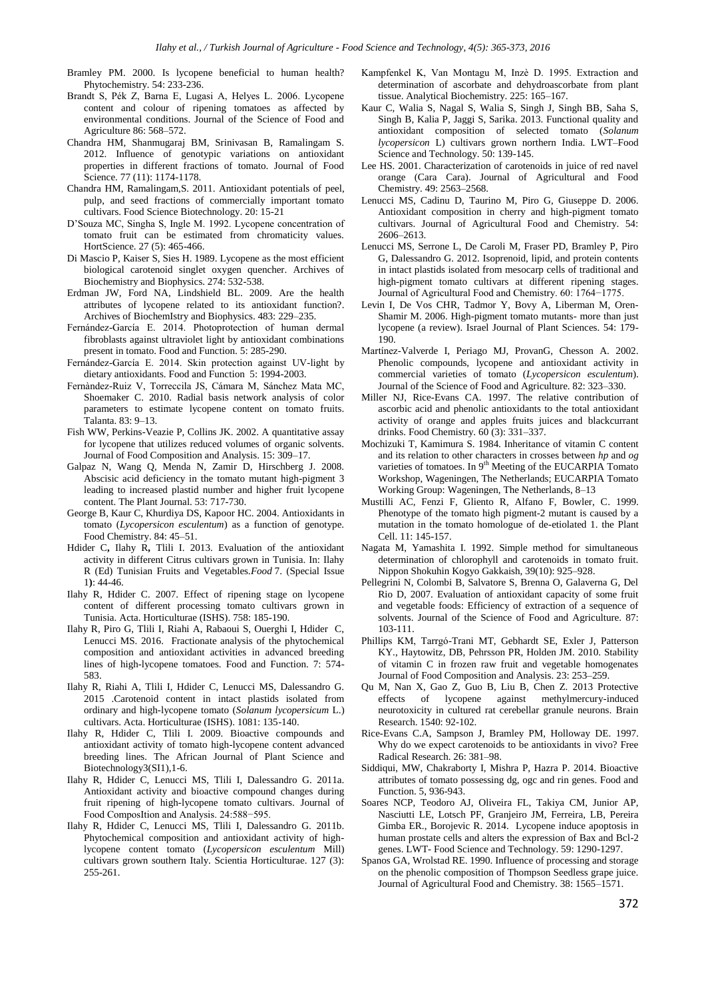- Bramley PM. 2000. Is lycopene beneficial to human health? Phytochemistry. 54: 233-236.
- Brandt S, Pék Z, Barna E, Lugasi A, Helyes L. 2006. Lycopene content and colour of ripening tomatoes as affected by environmental conditions. Journal of the Science of Food and Agriculture 86: 568–572.
- Chandra HM, Shanmugaraj BM, Srinivasan B, Ramalingam S. 2012. Influence of genotypic variations on antioxidant properties in different fractions of tomato. Journal of Food Science. 77 (11): 1174-1178.
- Chandra HM, Ramalingam,S. 2011. Antioxidant potentials of peel, pulp, and seed fractions of commercially important tomato cultivars. Food Science Biotechnology. 20: 15-21
- D'Souza MC, Singha S, Ingle M. 1992. Lycopene concentration of tomato fruit can be estimated from chromaticity values. HortScience. 27 (5): 465-466.
- Di Mascio P, Kaiser S, Sies H. 1989. Lycopene as the most efficient biological carotenoid singlet oxygen quencher. Archives of Biochemistry and Biophysics. 274: 532-538.
- Erdman JW, Ford NA, Lindshield BL. 2009. Are the health attributes of lycopene related to its antioxidant function?. Archives of BiochemIstry and Biophysics. 483: 229–235.
- Fernández-García E. 2014. Photoprotection of human dermal fibroblasts against ultraviolet light by antioxidant combinations present in tomato. Food and Function. 5: 285-290.
- Fernández-García E. 2014. Skin protection against UV-light by dietary antioxidants. Food and Function 5: 1994-2003.
- Fernàndez-Ruiz V, Torreccila JS, Cámara M, Sánchez Mata MC, Shoemaker C. 2010. Radial basis network analysis of color parameters to estimate lycopene content on tomato fruits. Talanta. 83: 9–13.
- Fish WW, Perkins-Veazie P, Collins JK. 2002. A quantitative assay for lycopene that utilizes reduced volumes of organic solvents. Journal of Food Composition and Analysis. 15: 309–17.
- Galpaz N, Wang Q, Menda N, Zamir D, Hirschberg J. 2008. Abscisic acid deficiency in the tomato mutant high-pigment 3 leading to increased plastid number and higher fruit lycopene content. The Plant Journal. 53: 717-730.
- George B, Kaur C, Khurdiya DS, Kapoor HC. 2004. Antioxidants in tomato (*Lycopersicon esculentum*) as a function of genotype. Food Chemistry. 84: 45–51.
- Hdider C**,** Ilahy R**,** Tlili I. 2013. Evaluation of the antioxidant activity in different Citrus cultivars grown in Tunisia. In: Ilahy R (Ed) Tunisian Fruits and Vegetables.*Food* 7. (Special Issue 1**)**: 44-46.
- Ilahy R, Hdider C. 2007. Effect of ripening stage on lycopene content of different processing tomato cultivars grown in Tunisia. Acta. Horticulturae (ISHS). 758: 185-190.
- Ilahy R, Piro G, Tlili I, Riahi A, Rabaoui S, Ouerghi I, Hdider C, Lenucci MS. 2016. Fractionate analysis of the phytochemical composition and antioxidant activities in advanced breeding lines of high-lycopene tomatoes. Food and Function. 7: 574- 583.
- Ilahy R, Riahi A, Tlili I, Hdider C, Lenucci MS, Dalessandro G. 2015 .Carotenoid content in intact plastids isolated from ordinary and high-lycopene tomato (*Solanum lycopersicum* L.) cultivars. Acta. Horticulturae (ISHS). 1081: 135-140.
- Ilahy R, Hdider C, Tlili I. 2009. Bioactive compounds and antioxidant activity of tomato high-lycopene content advanced breeding lines. The African Journal of Plant Science and Biotechnology3(SI1),1-6.
- Ilahy R, Hdider C, Lenucci MS, Tlili I, Dalessandro G. 2011a. Antioxidant activity and bioactive compound changes during fruit ripening of high-lycopene tomato cultivars. Journal of Food ComposItion and Analysis. 24:588−595.
- Ilahy R, Hdider C, Lenucci MS, Tlili I, Dalessandro G. 2011b. Phytochemical composition and antioxidant activity of highlycopene content tomato (*Lycopersicon esculentum* Mill) cultivars grown southern Italy. Scientia Horticulturae. 127 (3): 255-261.
- Kampfenkel K, Van Montagu M, Inzè D. 1995. Extraction and determination of ascorbate and dehydroascorbate from plant tissue. Analytical Biochemistry. 225: 165–167.
- Kaur C, Walia S, Nagal S, Walia S, Singh J, Singh BB, Saha S, Singh B, Kalia P, Jaggi S, Sarika. 2013. Functional quality and antioxidant composition of selected tomato (*Solanum lycopersicon* L) cultivars grown northern India. LWT–Food Science and Technology. 50: 139-145.
- Lee HS. 2001. Characterization of carotenoids in juice of red navel orange (Cara Cara). Journal of Agricultural and Food Chemistry. 49: 2563–2568.
- Lenucci MS, Cadinu D, Taurino M, Piro G, Giuseppe D. 2006. Antioxidant composition in cherry and high-pigment tomato cultivars. Journal of Agricultural Food and Chemistry. 54: 2606–2613.
- Lenucci MS, Serrone L, De Caroli M, Fraser PD, Bramley P, Piro G, Dalessandro G. 2012. Isoprenoid, lipid, and protein contents in intact plastids isolated from mesocarp cells of traditional and high-pigment tomato cultivars at different ripening stages. Journal of Agricultural Food and Chemistry. 60: 1764−1775.
- Levin I, De Vos CHR, Tadmor Y, Bovy A, Liberman M, Oren-Shamir M. 2006. High-pigment tomato mutants- more than just lycopene (a review). Israel Journal of Plant Sciences. 54: 179- 190.
- Martínez-Valverde I, Periago MJ, ProvanG, Chesson A. 2002. Phenolic compounds, lycopene and antioxidant activity in commercial varieties of tomato (*Lycopersicon esculentum*). Journal of the Science of Food and Agriculture. 82: 323–330.
- Miller NJ, Rice-Evans CA. 1997. The relative contribution of ascorbic acid and phenolic antioxidants to the total antioxidant activity of orange and apples fruits juices and blackcurrant drinks. Food Chemistry. 60 (3): 331–337.
- Mochizuki T, Kamimura S. 1984. Inheritance of vitamin C content and its relation to other characters in crosses between *hp* and *og* varieties of tomatoes. In 9<sup>th</sup> Meeting of the EUCARPIA Tomato Workshop, Wageningen, The Netherlands; EUCARPIA Tomato Working Group: Wageningen, The Netherlands, 8–13
- Mustilli AC, Fenzi F, Gliento R, Alfano F, Bowler, C. 1999. Phenotype of the tomato high pigment-2 mutant is caused by a mutation in the tomato homologue of de-etiolated 1. the Plant Cell. 11: 145-157.
- Nagata M, Yamashita I. 1992. Simple method for simultaneous determination of chlorophyll and carotenoids in tomato fruit. Nippon Shokuhin Kogyo Gakkaish, 39(10): 925–928.
- Pellegrini N, Colombi B, Salvatore S, Brenna O, Galaverna G, Del Rio D, 2007. Evaluation of antioxidant capacity of some fruit and vegetable foods: Efficiency of extraction of a sequence of solvents. Journal of the Science of Food and Agriculture. 87: 103-111.
- Phillips KM, Tarrgó-Trani MT, Gebhardt SE, Exler J, Patterson KY., Haytowitz, DB, Pehrsson PR, Holden JM. 2010. Stability of vitamin C in frozen raw fruit and vegetable homogenates Journal of Food Composition and Analysis. 23: 253–259.
- Qu M, Nan X, Gao Z, Guo B, Liu B, Chen Z. 2013 Protective effects of lycopene against methylmercury-induced neurotoxicity in cultured rat cerebellar granule neurons. Brain Research. 1540: 92-102.
- Rice-Evans C.A, Sampson J, Bramley PM, Holloway DE. 1997. Why do we expect carotenoids to be antioxidants in vivo? Free Radical Research. 26: 381–98.
- Siddiqui, MW, Chakraborty I, Mishra P, Hazra P. 2014. Bioactive attributes of tomato possessing dg, ogc and rin genes. Food and Function. 5, 936-943.
- Soares NCP, Teodoro AJ, Oliveira FL, Takiya CM, Junior AP, Nasciutti LE, Lotsch PF, Granjeiro JM, Ferreira, LB, Pereira Gimba ER., Borojevic R. 2014. Lycopene induce apoptosis in human prostate cells and alters the expression of Bax and Bcl-2 genes. LWT- Food Science and Technology. 59: 1290-1297.
- Spanos GA, Wrolstad RE. 1990. Influence of processing and storage on the phenolic composition of Thompson Seedless grape juice. Journal of Agricultural Food and Chemistry. 38: 1565–1571.